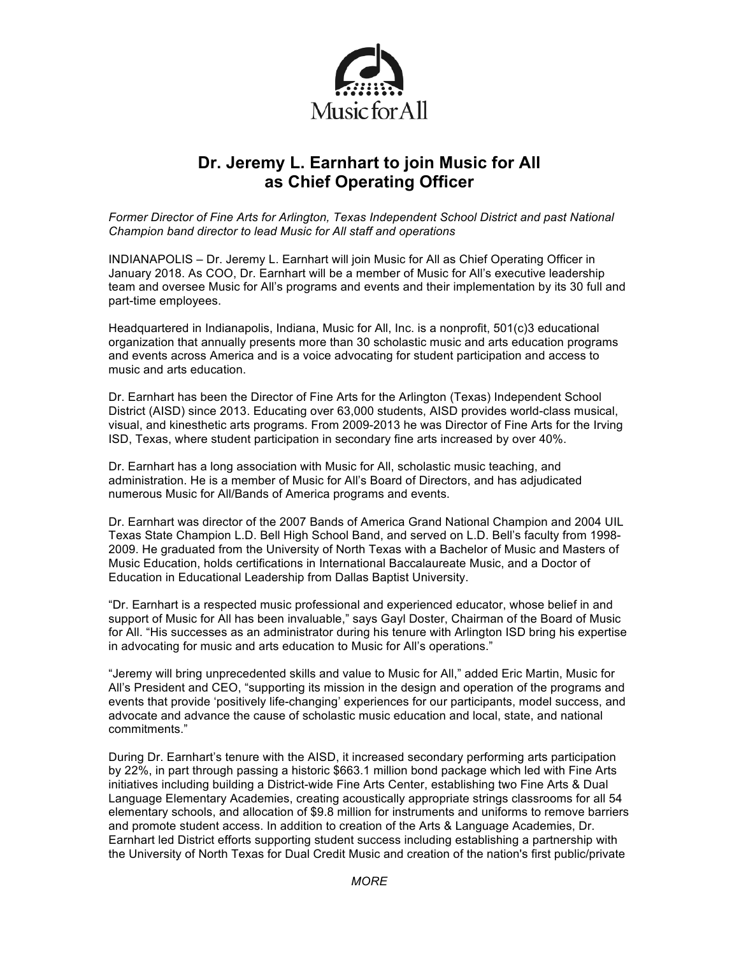

# **Dr. Jeremy L. Earnhart to join Music for All as Chief Operating Officer**

*Former Director of Fine Arts for Arlington, Texas Independent School District and past National Champion band director to lead Music for All staff and operations*

INDIANAPOLIS – Dr. Jeremy L. Earnhart will join Music for All as Chief Operating Officer in January 2018. As COO, Dr. Earnhart will be a member of Music for All's executive leadership team and oversee Music for All's programs and events and their implementation by its 30 full and part-time employees.

Headquartered in Indianapolis, Indiana, Music for All, Inc. is a nonprofit, 501(c)3 educational organization that annually presents more than 30 scholastic music and arts education programs and events across America and is a voice advocating for student participation and access to music and arts education.

Dr. Earnhart has been the Director of Fine Arts for the Arlington (Texas) Independent School District (AISD) since 2013. Educating over 63,000 students, AISD provides world-class musical, visual, and kinesthetic arts programs. From 2009-2013 he was Director of Fine Arts for the Irving ISD, Texas, where student participation in secondary fine arts increased by over 40%.

Dr. Earnhart has a long association with Music for All, scholastic music teaching, and administration. He is a member of Music for All's Board of Directors, and has adjudicated numerous Music for All/Bands of America programs and events.

Dr. Earnhart was director of the 2007 Bands of America Grand National Champion and 2004 UIL Texas State Champion L.D. Bell High School Band, and served on L.D. Bell's faculty from 1998- 2009. He graduated from the University of North Texas with a Bachelor of Music and Masters of Music Education, holds certifications in International Baccalaureate Music, and a Doctor of Education in Educational Leadership from Dallas Baptist University.

"Dr. Earnhart is a respected music professional and experienced educator, whose belief in and support of Music for All has been invaluable," says Gayl Doster, Chairman of the Board of Music for All. "His successes as an administrator during his tenure with Arlington ISD bring his expertise in advocating for music and arts education to Music for All's operations."

"Jeremy will bring unprecedented skills and value to Music for All," added Eric Martin, Music for All's President and CEO, "supporting its mission in the design and operation of the programs and events that provide 'positively life-changing' experiences for our participants, model success, and advocate and advance the cause of scholastic music education and local, state, and national commitments."

During Dr. Earnhart's tenure with the AISD, it increased secondary performing arts participation by 22%, in part through passing a historic \$663.1 million bond package which led with Fine Arts initiatives including building a District-wide Fine Arts Center, establishing two Fine Arts & Dual Language Elementary Academies, creating acoustically appropriate strings classrooms for all 54 elementary schools, and allocation of \$9.8 million for instruments and uniforms to remove barriers and promote student access. In addition to creation of the Arts & Language Academies, Dr. Earnhart led District efforts supporting student success including establishing a partnership with the University of North Texas for Dual Credit Music and creation of the nation's first public/private